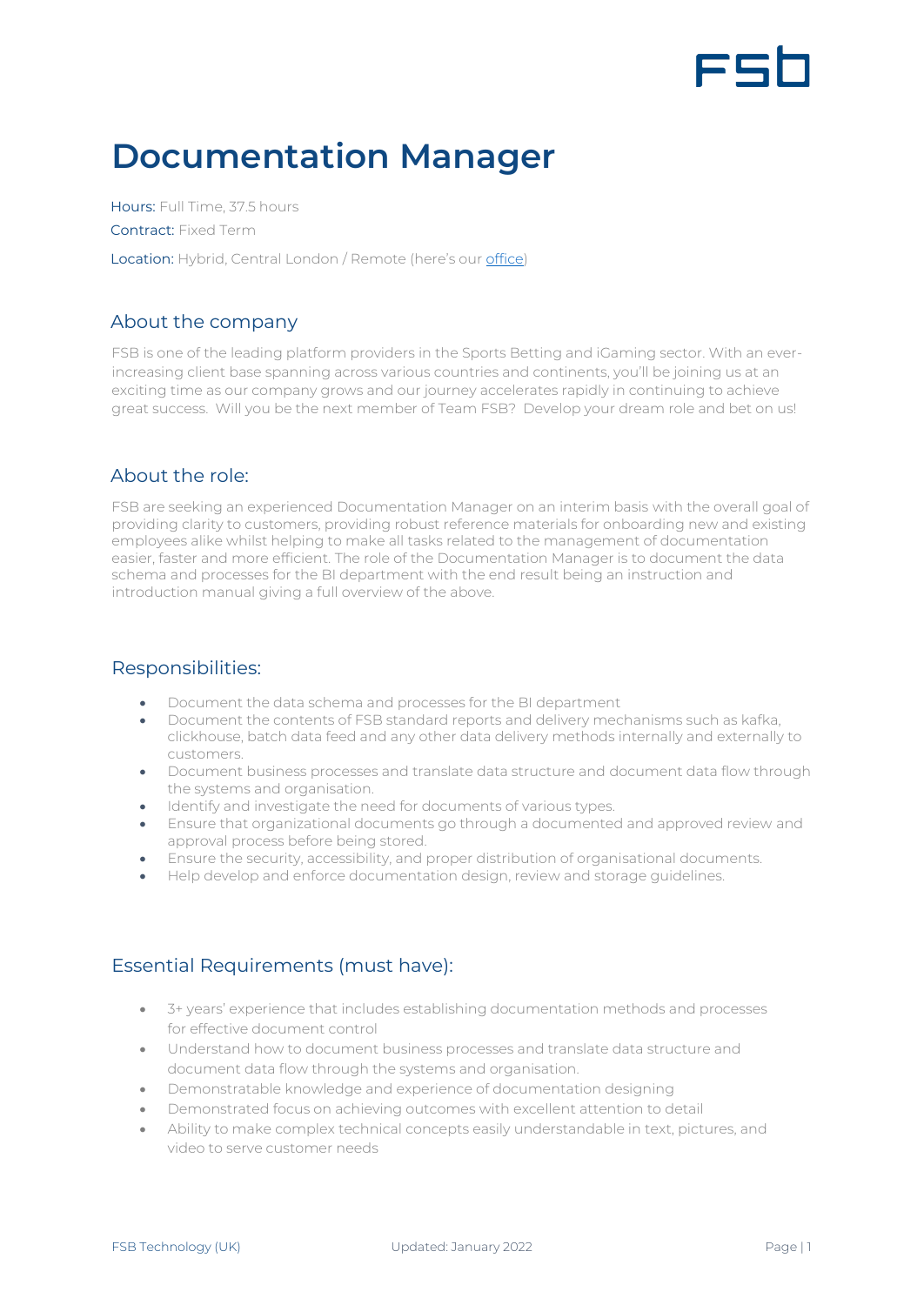# FSI

## **Documentation Manager**

Hours: Full Time, 37.5 hours Contract: Fixed Term Location: Hybrid, Central London / Remote (here's our [office\)](https://www.google.com/maps/place/Moray+house,+London/@51.5175111,-0.1425708,17z/data=!3m1!4b1!4m5!3m4!1s0x48761b2a8799d3e9:0xbc30e69c4f00c44f!8m2!3d51.5175111!4d-0.1403821)

#### About the company

FSB is one of the leading platform providers in the Sports Betting and iGaming sector. With an everincreasing client base spanning across various countries and continents, you'll be joining us at an exciting time as our company grows and our journey accelerates rapidly in continuing to achieve great success. Will you be the next member of Team FSB? Develop your dream role and bet on us!

### About the role:

FSB are seeking an experienced Documentation Manager on an interim basis with the overall goal of providing clarity to customers, providing robust reference materials for onboarding new and existing employees alike whilst helping to make all tasks related to the management of documentation easier, faster and more efficient. The role of the Documentation Manager is to document the data schema and processes for the BI department with the end result being an instruction and introduction manual giving a full overview of the above.

#### Responsibilities:

- Document the data schema and processes for the BI department
- Document the contents of FSB standard reports and delivery mechanisms such as kafka, clickhouse, batch data feed and any other data delivery methods internally and externally to customers.
- Document business processes and translate data structure and document data flow through the systems and organisation.
- Identify and investigate the need for documents of various types.
- Ensure that organizational documents go through a documented and approved review and approval process before being stored.
- Ensure the security, accessibility, and proper distribution of organisational documents.
- Help develop and enforce documentation design, review and storage quidelines.

### Essential Requirements (must have):

- 3+ years' experience that includes establishing documentation methods and processes for effective document control
- Understand how to document business processes and translate data structure and document data flow through the systems and organisation.
- Demonstratable knowledge and experience of documentation designing
- Demonstrated focus on achieving outcomes with excellent attention to detail
- Ability to make complex technical concepts easily understandable in text, pictures, and video to serve customer needs